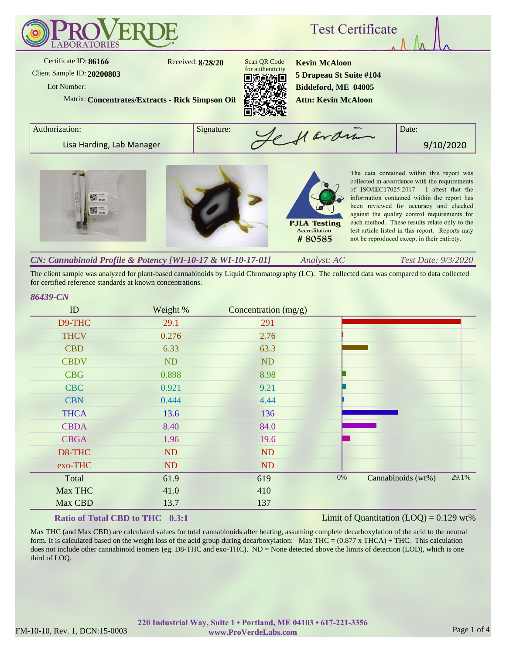

The client sample was analyzed for plant-based cannabinoids by Liquid Chromatography (LC). The collected data was compared to data collected for certified reference standards at known concentrations.

### *86439-CN*

| ID          | Weight % | Concentration (mg/g) |       |                    |       |
|-------------|----------|----------------------|-------|--------------------|-------|
| D9-THC      | 29.1     | 291                  |       |                    |       |
| <b>THCV</b> | 0.276    | 2.76                 |       |                    |       |
| <b>CBD</b>  | 6.33     | 63.3                 |       |                    |       |
| <b>CBDV</b> | ND       | ND                   |       |                    |       |
| <b>CBG</b>  | 0.898    | 8.98                 |       |                    |       |
| <b>CBC</b>  | 0.921    | 9.21                 |       |                    |       |
| <b>CBN</b>  | 0.444    | 4.44                 |       |                    |       |
| <b>THCA</b> | 13.6     | 136                  |       |                    |       |
| <b>CBDA</b> | 8.40     | 84.0                 |       |                    |       |
| <b>CBGA</b> | 1.96     | 19.6                 |       |                    |       |
| D8-THC      | ND       | ND                   |       |                    |       |
| exo-THC     | ND       | <b>ND</b>            |       |                    |       |
| Total       | 61.9     | 619                  | $0\%$ | Cannabinoids (wt%) | 29.1% |
| Max THC     | 41.0     | 410                  |       |                    |       |
| Max CBD     | 13.7     | 137                  |       |                    |       |

## **Ratio of Total CBD to THC 0.3:1**

#### Limit of Quantitation  $(LOO) = 0.129$  wt%

Max THC (and Max CBD) are calculated values for total cannabinoids after heating, assuming complete decarboxylation of the acid to the neutral form. It is calculated based on the weight loss of the acid group during decarboxylation: Max THC =  $(0.877 \times THCA) + THC$ . This calculation does not include other cannabinoid isomers (eg. D8-THC and exo-THC). ND = None detected above the limits of detection (LOD), which is one third of LOQ.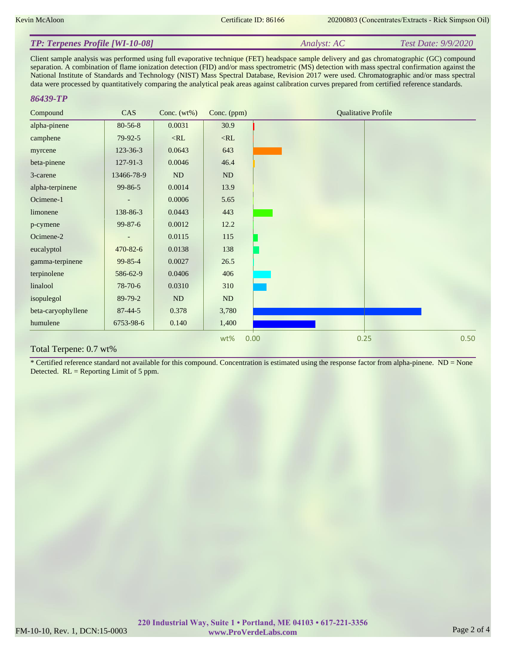#### *Analyst: AC Test Date: 9/9/2020 TP: Terpenes Profile [WI-10-08]*

Client sample analysis was performed using full evaporative technique (FET) headspace sample delivery and gas chromatographic (GC) compound separation. A combination of flame ionization detection (FID) and/or mass spectrometric (MS) detection with mass spectral confirmation against the National Institute of Standards and Technology (NIST) Mass Spectral Database, Revision 2017 were used. Chromatographic and/or mass spectral data were processed by quantitatively comparing the analytical peak areas against calibration curves prepared from certified reference standards.

#### *86439-TP*

| Compound           | CAS            | Conc. $(wt\%)$ | Conc. (ppm) | <b>Qualitative Profile</b> |
|--------------------|----------------|----------------|-------------|----------------------------|
| alpha-pinene       | 80-56-8        | 0.0031         | 30.9        |                            |
| camphene           | 79-92-5        | $<$ RL         | $<\!\!RL$   |                            |
| myrcene            | $123 - 36 - 3$ | 0.0643         | 643         |                            |
| beta-pinene        | 127-91-3       | 0.0046         | 46.4        |                            |
| 3-carene           | 13466-78-9     | ND             | ND          |                            |
| alpha-terpinene    | $99 - 86 - 5$  | 0.0014         | 13.9        |                            |
| Ocimene-1          |                | 0.0006         | 5.65        |                            |
| limonene           | 138-86-3       | 0.0443         | 443         |                            |
| p-cymene           | $99 - 87 - 6$  | 0.0012         | 12.2        |                            |
| Ocimene-2          |                | 0.0115         | 115         |                            |
| eucalyptol         | 470-82-6       | 0.0138         | 138         |                            |
| gamma-terpinene    | 99-85-4        | 0.0027         | 26.5        |                            |
| terpinolene        | 586-62-9       | 0.0406         | 406         |                            |
| linalool           | $78-70-6$      | 0.0310         | 310         |                            |
| isopulegol         | 89-79-2        | <b>ND</b>      | <b>ND</b>   |                            |
| beta-caryophyllene | $87 - 44 - 5$  | 0.378          | 3,780       |                            |
| humulene           | 6753-98-6      | 0.140          | 1,400       |                            |
|                    |                |                | wt%         | 0.50<br>0.00<br>0.25       |

#### Total Terpene: 0.7 wt%

\* Certified reference standard not available for this compound. Concentration is estimated using the response factor from alpha-pinene.  $ND = None$ Detected. RL = Reporting Limit of 5 ppm.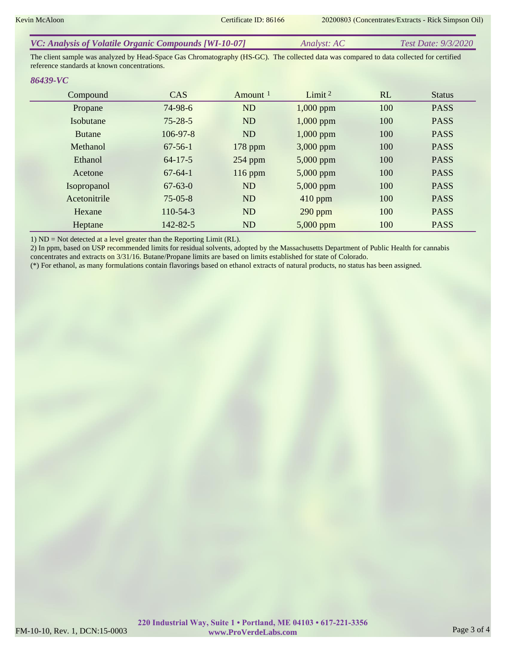| VC: Analysis of Volatile Organic Compounds [WI-10-07] | <i>Analyst: AC</i> | <i>Test Date: 9/3/2020</i> |
|-------------------------------------------------------|--------------------|----------------------------|
|                                                       |                    |                            |

The client sample was analyzed by Head-Space Gas Chromatography (HS-GC). The collected data was compared to data collected for certified reference standards at known concentrations.

#### *86439-VC*

| Compound         | <b>CAS</b>     | Amount $1$ | Limit $2$   | <b>RL</b> | <b>Status</b> |
|------------------|----------------|------------|-------------|-----------|---------------|
| Propane          | $74-98-6$      | <b>ND</b>  | $1,000$ ppm | 100       | <b>PASS</b>   |
| <b>Isobutane</b> | $75 - 28 - 5$  | <b>ND</b>  | $1,000$ ppm | 100       | <b>PASS</b>   |
| <b>Butane</b>    | $106 - 97 - 8$ | <b>ND</b>  | $1,000$ ppm | 100       | <b>PASS</b>   |
| Methanol         | $67 - 56 - 1$  | $178$ ppm  | $3,000$ ppm | 100       | <b>PASS</b>   |
| Ethanol          | $64 - 17 - 5$  | $254$ ppm  | $5,000$ ppm | 100       | <b>PASS</b>   |
| Acetone          | $67-64-1$      | $116$ ppm  | $5,000$ ppm | 100       | <b>PASS</b>   |
| Isopropanol      | $67 - 63 - 0$  | <b>ND</b>  | $5,000$ ppm | 100       | <b>PASS</b>   |
| Acetonitrile     | $75 - 05 - 8$  | <b>ND</b>  | $410$ ppm   | 100       | <b>PASS</b>   |
| Hexane           | $110-54-3$     | <b>ND</b>  | $290$ ppm   | 100       | <b>PASS</b>   |
| Heptane          | 142-82-5       | ND         | $5,000$ ppm | 100       | <b>PASS</b>   |

1) ND = Not detected at a level greater than the Reporting Limit (RL).

2) In ppm, based on USP recommended limits for residual solvents, adopted by the Massachusetts Department of Public Health for cannabis concentrates and extracts on 3/31/16. Butane/Propane limits are based on limits established for state of Colorado.

(\*) For ethanol, as many formulations contain flavorings based on ethanol extracts of natural products, no status has been assigned.